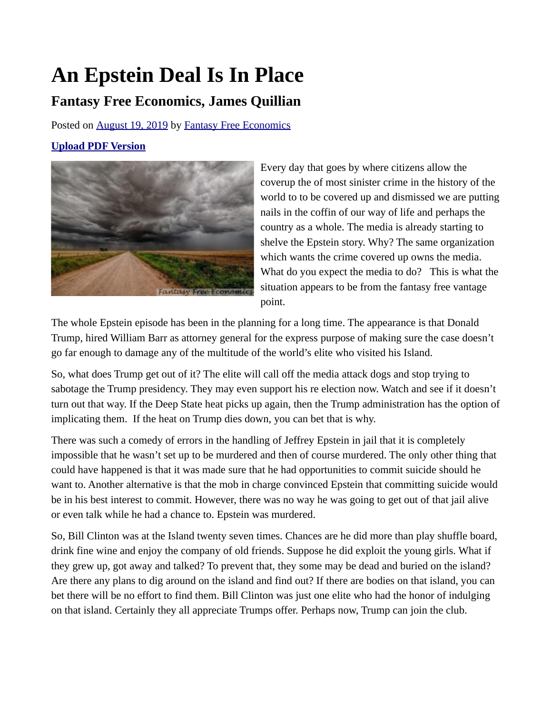## **An Epstein Deal Is In Place**

## **Fantasy Free Economics, James Quillian**

Posted on [August 19, 2019](http://quillian.net/blog/an-epstein-deal-is-in-place/) by [Fantasy Free Economics](http://quillian.net/blog/author/james-quillian/)

## **[Upload PDF Version](http://quillian.net/blog/wp-content/uploads/2019/08/Driving-Nails-In-Our-Coffin.pdf)**



Every day that goes by where citizens allow the coverup the of most sinister crime in the history of the world to to be covered up and dismissed we are putting nails in the coffin of our way of life and perhaps the country as a whole. The media is already starting to shelve the Epstein story. Why? The same organization which wants the crime covered up owns the media. What do you expect the media to do? This is what the situation appears to be from the fantasy free vantage point.

The whole Epstein episode has been in the planning for a long time. The appearance is that Donald Trump, hired William Barr as attorney general for the express purpose of making sure the case doesn't go far enough to damage any of the multitude of the world's elite who visited his Island.

So, what does Trump get out of it? The elite will call off the media attack dogs and stop trying to sabotage the Trump presidency. They may even support his re election now. Watch and see if it doesn't turn out that way. If the Deep State heat picks up again, then the Trump administration has the option of implicating them. If the heat on Trump dies down, you can bet that is why.

There was such a comedy of errors in the handling of Jeffrey Epstein in jail that it is completely impossible that he wasn't set up to be murdered and then of course murdered. The only other thing that could have happened is that it was made sure that he had opportunities to commit suicide should he want to. Another alternative is that the mob in charge convinced Epstein that committing suicide would be in his best interest to commit. However, there was no way he was going to get out of that jail alive or even talk while he had a chance to. Epstein was murdered.

So, Bill Clinton was at the Island twenty seven times. Chances are he did more than play shuffle board, drink fine wine and enjoy the company of old friends. Suppose he did exploit the young girls. What if they grew up, got away and talked? To prevent that, they some may be dead and buried on the island? Are there any plans to dig around on the island and find out? If there are bodies on that island, you can bet there will be no effort to find them. Bill Clinton was just one elite who had the honor of indulging on that island. Certainly they all appreciate Trumps offer. Perhaps now, Trump can join the club.